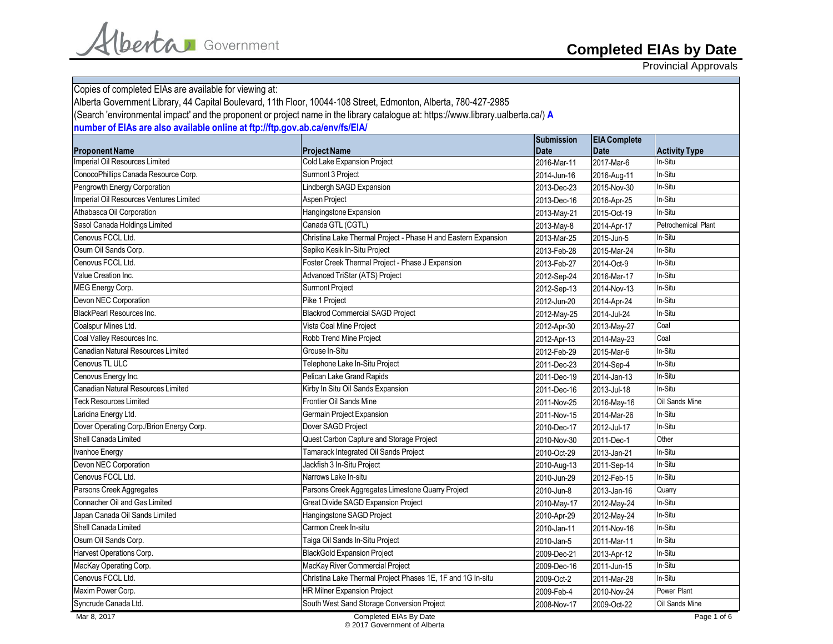Provincial Approvals

| Copies of completed EIAs are available for viewing at:                      | Alberta Government Library, 44 Capital Boulevard, 11th Floor, 10044-108 Street, Edmonton, Alberta, 780-427-2985                   |                                  |                                    |                      |
|-----------------------------------------------------------------------------|-----------------------------------------------------------------------------------------------------------------------------------|----------------------------------|------------------------------------|----------------------|
|                                                                             | (Search 'environmental impact' and the proponent or project name in the library catalogue at: https://www.library.ualberta.ca/) A |                                  |                                    |                      |
| number of EIAs are also available online at ftp://ftp.gov.ab.ca/env/fs/EIA/ |                                                                                                                                   |                                  |                                    |                      |
| <b>Proponent Name</b>                                                       | <b>Project Name</b>                                                                                                               | <b>Submission</b><br><b>Date</b> | <b>EIA Complete</b><br><b>Date</b> | <b>Activity Type</b> |
| Imperial Oil Resources Limited                                              | Cold Lake Expansion Project                                                                                                       | 2016-Mar-11                      | 2017-Mar-6                         | In-Situ              |
| ConocoPhillips Canada Resource Corp.                                        | Surmont 3 Project                                                                                                                 | 2014-Jun-16                      | 2016-Aug-11                        | In-Situ              |
| Pengrowth Energy Corporation                                                | Lindbergh SAGD Expansion                                                                                                          | 2013-Dec-23                      | 2015-Nov-30                        | In-Situ              |
| Imperial Oil Resources Ventures Limited                                     | <b>Aspen Project</b>                                                                                                              | 2013-Dec-16                      | 2016-Apr-25                        | In-Situ              |
| Athabasca Oil Corporation                                                   | Hangingstone Expansion                                                                                                            | 2013-May-21                      | 2015-Oct-19                        | In-Situ              |
| Sasol Canada Holdings Limited                                               | Canada GTL (CGTL)                                                                                                                 | 2013-May-8                       | 2014-Apr-17                        | Petrochemical Plant  |
| Cenovus FCCL Ltd.                                                           | Christina Lake Thermal Project - Phase H and Eastern Expansion                                                                    | 2013-Mar-25                      | 2015-Jun-5                         | In-Situ              |
| Osum Oil Sands Corp.                                                        | Sepiko Kesik In-Situ Project                                                                                                      | 2013-Feb-28                      | 2015-Mar-24                        | In-Situ              |
| Cenovus FCCL Ltd.                                                           | Foster Creek Thermal Project - Phase J Expansion                                                                                  | 2013-Feb-27                      | 2014-Oct-9                         | In-Situ              |
| Value Creation Inc.                                                         | Advanced TriStar (ATS) Project                                                                                                    | 2012-Sep-24                      | 2016-Mar-17                        | In-Situ              |
| MEG Energy Corp.                                                            | <b>Surmont Project</b>                                                                                                            | 2012-Sep-13                      | 2014-Nov-13                        | In-Situ              |
| Devon NEC Corporation                                                       | Pike 1 Project                                                                                                                    | 2012-Jun-20                      | 2014-Apr-24                        | In-Situ              |
| <b>BlackPearl Resources Inc.</b>                                            | <b>Blackrod Commercial SAGD Project</b>                                                                                           | 2012-May-25                      | 2014-Jul-24                        | In-Situ              |
| Coalspur Mines Ltd.                                                         | Vista Coal Mine Project                                                                                                           | 2012-Apr-30                      | 2013-May-27                        | Coal                 |
| Coal Valley Resources Inc.                                                  | Robb Trend Mine Project                                                                                                           | 2012-Apr-13                      | 2014-May-23                        | Coal                 |
| Canadian Natural Resources Limited                                          | Grouse In-Situ                                                                                                                    | 2012-Feb-29                      | 2015-Mar-6                         | In-Situ              |
| Cenovus TL ULC                                                              | Telephone Lake In-Situ Project                                                                                                    | 2011-Dec-23                      | 2014-Sep-4                         | In-Situ              |
| Cenovus Energy Inc.                                                         | Pelican Lake Grand Rapids                                                                                                         | 2011-Dec-19                      | 2014-Jan-13                        | In-Situ              |
| Canadian Natural Resources Limited                                          | Kirby In Situ Oil Sands Expansion                                                                                                 | 2011-Dec-16                      | 2013-Jul-18                        | In-Situ              |
| <b>Teck Resources Limited</b>                                               | <b>Frontier Oil Sands Mine</b>                                                                                                    | 2011-Nov-25                      | 2016-May-16                        | Oil Sands Mine       |
| Laricina Energy Ltd.                                                        | Germain Project Expansion                                                                                                         | 2011-Nov-15                      | 2014-Mar-26                        | In-Situ              |
| Dover Operating Corp./Brion Energy Corp.                                    | Dover SAGD Project                                                                                                                | 2010-Dec-17                      | 2012-Jul-17                        | In-Situ              |
| Shell Canada Limited                                                        | Quest Carbon Capture and Storage Project                                                                                          | 2010-Nov-30                      | 2011-Dec-1                         | Other                |
| Ivanhoe Energy                                                              | Tamarack Integrated Oil Sands Project                                                                                             | 2010-Oct-29                      | 2013-Jan-21                        | In-Situ              |
| Devon NEC Corporation                                                       | Jackfish 3 In-Situ Project                                                                                                        | 2010-Aug-13                      | 2011-Sep-14                        | In-Situ              |
| Cenovus FCCL Ltd.                                                           | Narrows Lake In-situ                                                                                                              | 2010-Jun-29                      | 2012-Feb-15                        | In-Situ              |
| Parsons Creek Aggregates                                                    | Parsons Creek Aggregates Limestone Quarry Project                                                                                 | 2010-Jun-8                       | 2013-Jan-16                        | Quarry               |
| Connacher Oil and Gas Limited                                               | Great Divide SAGD Expansion Project                                                                                               | 2010-May-17                      | 2012-May-24                        | In-Situ              |
| Japan Canada Oil Sands Limited                                              | Hangingstone SAGD Project                                                                                                         | 2010-Apr-29                      | 2012-May-24                        | In-Situ              |
| Shell Canada Limited                                                        | Carmon Creek In-situ                                                                                                              | 2010-Jan-11                      | 2011-Nov-16                        | In-Situ              |
| Osum Oil Sands Corp.                                                        | Taiga Oil Sands In-Situ Project                                                                                                   | 2010-Jan-5                       | 2011-Mar-11                        | In-Situ              |
| Harvest Operations Corp.                                                    | <b>BlackGold Expansion Project</b>                                                                                                | 2009-Dec-21                      | 2013-Apr-12                        | In-Situ              |
| MacKay Operating Corp.                                                      | MacKay River Commercial Project                                                                                                   | 2009-Dec-16                      | 2011-Jun-15                        | In-Situ              |
| Cenovus FCCL Ltd.                                                           | Christina Lake Thermal Project Phases 1E, 1F and 1G In-situ                                                                       | 2009-Oct-2                       | 2011-Mar-28                        | In-Situ              |
| Maxim Power Corp.                                                           | <b>HR Milner Expansion Project</b>                                                                                                | 2009-Feb-4                       | 2010-Nov-24                        | Power Plant          |
| Syncrude Canada Ltd.                                                        | South West Sand Storage Conversion Project                                                                                        | 2008-Nov-17                      | 2009-Oct-22                        | Oil Sands Mine       |

Alberta Government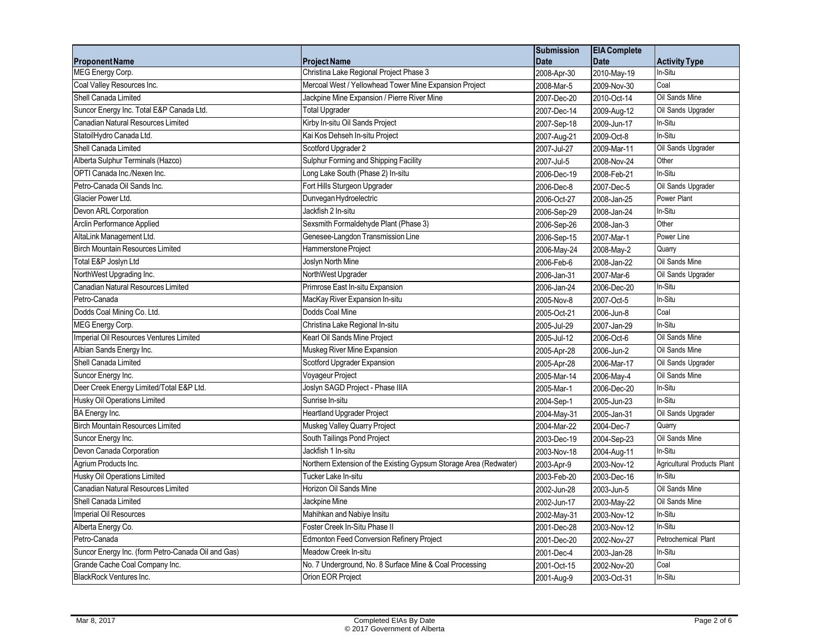|                                                    |                                                                   | <b>Submission</b> | <b>EIA</b> Complete |                             |
|----------------------------------------------------|-------------------------------------------------------------------|-------------------|---------------------|-----------------------------|
| <b>Proponent Name</b>                              | <b>Project Name</b>                                               | <b>Date</b>       | <b>Date</b>         | <b>Activity Type</b>        |
| MEG Energy Corp.                                   | Christina Lake Regional Project Phase 3                           | 2008-Apr-30       | 2010-May-19         | In-Situ                     |
| Coal Valley Resources Inc.                         | Mercoal West / Yellowhead Tower Mine Expansion Project            | 2008-Mar-5        | 2009-Nov-30         | Coal                        |
| Shell Canada Limited                               | Jackpine Mine Expansion / Pierre River Mine                       | 2007-Dec-20       | 2010-Oct-14         | Oil Sands Mine              |
| Suncor Energy Inc. Total E&P Canada Ltd.           | <b>Total Upgrader</b>                                             | 2007-Dec-14       | 2009-Aug-12         | Oil Sands Upgrader          |
| Canadian Natural Resources Limited                 | Kirby In-situ Oil Sands Project                                   | 2007-Sep-18       | 2009-Jun-17         | In-Situ                     |
| StatoilHydro Canada Ltd.                           | Kai Kos Dehseh In-situ Project                                    | 2007-Aug-21       | 2009-Oct-8          | In-Situ                     |
| Shell Canada Limited                               | Scotford Upgrader 2                                               | 2007-Jul-27       | 2009-Mar-11         | Oil Sands Upgrader          |
| Alberta Sulphur Terminals (Hazco)                  | Sulphur Forming and Shipping Facility                             | 2007-Jul-5        | 2008-Nov-24         | Other                       |
| OPTI Canada Inc./Nexen Inc.                        | Long Lake South (Phase 2) In-situ                                 | 2006-Dec-19       | 2008-Feb-21         | In-Situ                     |
| Petro-Canada Oil Sands Inc.                        | Fort Hills Sturgeon Upgrader                                      | 2006-Dec-8        | 2007-Dec-5          | Oil Sands Upgrader          |
| Glacier Power Ltd.                                 | Dunvegan Hydroelectric                                            | 2006-Oct-27       | 2008-Jan-25         | Power Plant                 |
| Devon ARL Corporation                              | Jackfish 2 In-situ                                                | 2006-Sep-29       | 2008-Jan-24         | In-Situ                     |
| Arclin Performance Applied                         | Sexsmith Formaldehyde Plant (Phase 3)                             | 2006-Sep-26       | 2008-Jan-3          | Other                       |
| AltaLink Management Ltd.                           | Genesee-Langdon Transmission Line                                 | 2006-Sep-15       | 2007-Mar-1          | Power Line                  |
| <b>Birch Mountain Resources Limited</b>            | Hammerstone Project                                               | 2006-May-24       | 2008-May-2          | Quarry                      |
| Total E&P Joslyn Ltd                               | Joslyn North Mine                                                 | 2006-Feb-6        | 2008-Jan-22         | Oil Sands Mine              |
| NorthWest Upgrading Inc.                           | NorthWest Upgrader                                                | 2006-Jan-31       | 2007-Mar-6          | Oil Sands Upgrader          |
| <b>Canadian Natural Resources Limited</b>          | Primrose East In-situ Expansion                                   | 2006-Jan-24       | 2006-Dec-20         | In-Situ                     |
| Petro-Canada                                       | MacKay River Expansion In-situ                                    | 2005-Nov-8        | 2007-Oct-5          | In-Situ                     |
| Dodds Coal Mining Co. Ltd.                         | Dodds Coal Mine                                                   | 2005-Oct-21       | 2006-Jun-8          | Coal                        |
| MEG Energy Corp.                                   | Christina Lake Regional In-situ                                   | 2005-Jul-29       | 2007-Jan-29         | In-Situ                     |
| Imperial Oil Resources Ventures Limited            | Kearl Oil Sands Mine Project                                      | 2005-Jul-12       | 2006-Oct-6          | Oil Sands Mine              |
| Albian Sands Energy Inc.                           | Muskeg River Mine Expansion                                       | 2005-Apr-28       | 2006-Jun-2          | Oil Sands Mine              |
| Shell Canada Limited                               | Scotford Upgrader Expansion                                       | 2005-Apr-28       | 2006-Mar-17         | Oil Sands Upgrader          |
| Suncor Energy Inc.                                 | Voyageur Project                                                  | 2005-Mar-14       | 2006-May-4          | Oil Sands Mine              |
| Deer Creek Energy Limited/Total E&P Ltd.           | Joslyn SAGD Project - Phase IIIA                                  | 2005-Mar-1        | 2006-Dec-20         | In-Situ                     |
| Husky Oil Operations Limited                       | Sunrise In-situ                                                   | 2004-Sep-1        | 2005-Jun-23         | In-Situ                     |
| BA Energy Inc.                                     | <b>Heartland Upgrader Project</b>                                 | 2004-May-31       | 2005-Jan-31         | Oil Sands Upgrader          |
| <b>Birch Mountain Resources Limited</b>            | Muskeg Valley Quarry Project                                      | 2004-Mar-22       | 2004-Dec-7          | Quarry                      |
| Suncor Energy Inc.                                 | South Tailings Pond Project                                       | 2003-Dec-19       | 2004-Sep-23         | Oil Sands Mine              |
| Devon Canada Corporation                           | Jackfish 1 In-situ                                                | 2003-Nov-18       | 2004-Aug-11         | In-Situ                     |
| Agrium Products Inc.                               | Northern Extension of the Existing Gypsum Storage Area (Redwater) | 2003-Apr-9        | 2003-Nov-12         | Agricultural Products Plant |
| <b>Husky Oil Operations Limited</b>                | Tucker Lake In-situ                                               | 2003-Feb-20       | 2003-Dec-16         | In-Situ                     |
| Canadian Natural Resources Limited                 | Horizon Oil Sands Mine                                            | 2002-Jun-28       | 2003-Jun-5          | Oil Sands Mine              |
| Shell Canada Limited                               | Jackpine Mine                                                     | 2002-Jun-17       | 2003-May-22         | Oil Sands Mine              |
| Imperial Oil Resources                             | Mahihkan and Nabiye Insitu                                        | 2002-May-31       | 2003-Nov-12         | In-Situ                     |
| Alberta Energy Co.                                 | Foster Creek In-Situ Phase II                                     | 2001-Dec-28       | 2003-Nov-12         | In-Situ                     |
| Petro-Canada                                       | Edmonton Feed Conversion Refinery Project                         | 2001-Dec-20       | 2002-Nov-27         | Petrochemical Plant         |
| Suncor Energy Inc. (form Petro-Canada Oil and Gas) | Meadow Creek In-situ                                              | 2001-Dec-4        | 2003-Jan-28         | In-Situ                     |
| Grande Cache Coal Company Inc.                     | No. 7 Underground, No. 8 Surface Mine & Coal Processing           | 2001-Oct-15       | 2002-Nov-20         | Coal                        |
| <b>BlackRock Ventures Inc.</b>                     | Orion EOR Project                                                 | 2001-Aug-9        | 2003-Oct-31         | In-Situ                     |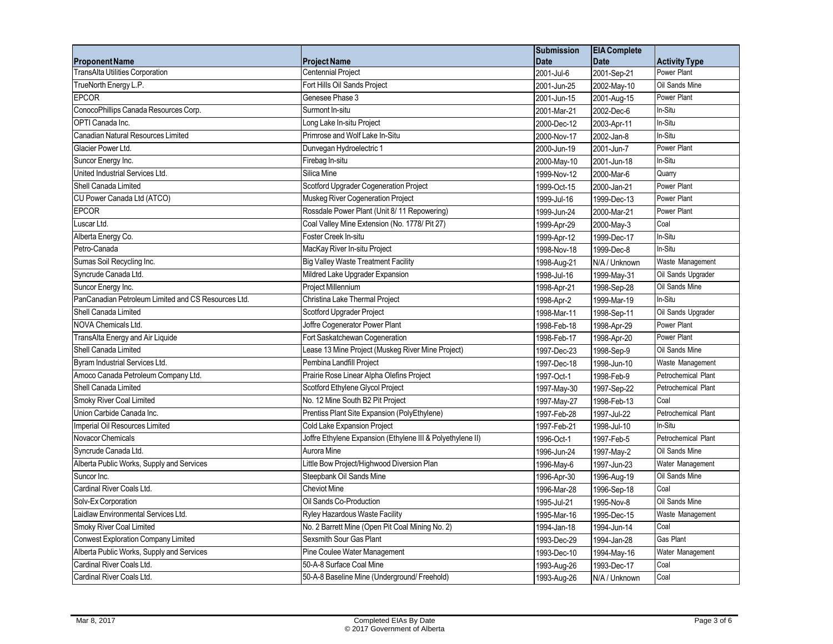|                                                     |                                                            | <b>Submission</b> | <b>EIA</b> Complete |                      |
|-----------------------------------------------------|------------------------------------------------------------|-------------------|---------------------|----------------------|
| <b>Proponent Name</b>                               | <b>Project Name</b>                                        | <b>Date</b>       | <b>Date</b>         | <b>Activity Type</b> |
| TransAlta Utilities Corporation                     | <b>Centennial Project</b>                                  | 2001-Jul-6        | 2001-Sep-21         | Power Plant          |
| TrueNorth Energy L.P.                               | Fort Hills Oil Sands Project                               | 2001-Jun-25       | 2002-May-10         | Oil Sands Mine       |
| <b>EPCOR</b>                                        | Genesee Phase 3                                            | 2001-Jun-15       | 2001-Aug-15         | Power Plant          |
| ConocoPhillips Canada Resources Corp.               | Surmont In-situ                                            | 2001-Mar-21       | 2002-Dec-6          | In-Situ              |
| OPTI Canada Inc.                                    | Long Lake In-situ Project                                  | 2000-Dec-12       | 2003-Apr-11         | In-Situ              |
| Canadian Natural Resources Limited                  | Primrose and Wolf Lake In-Situ                             | 2000-Nov-17       | 2002-Jan-8          | In-Situ              |
| Glacier Power Ltd.                                  | Dunvegan Hydroelectric 1                                   | 2000-Jun-19       | 2001-Jun-7          | Power Plant          |
| Suncor Energy Inc.                                  | Firebag In-situ                                            | 2000-May-10       | 2001-Jun-18         | In-Situ              |
| United Industrial Services Ltd.                     | Silica Mine                                                | 1999-Nov-12       | 2000-Mar-6          | Quarry               |
| Shell Canada Limited                                | Scotford Upgrader Cogeneration Project                     | 1999-Oct-15       | 2000-Jan-21         | Power Plant          |
| CU Power Canada Ltd (ATCO)                          | Muskeg River Cogeneration Project                          | 1999-Jul-16       | 1999-Dec-13         | Power Plant          |
| <b>EPCOR</b>                                        | Rossdale Power Plant (Unit 8/11 Repowering)                | 1999-Jun-24       | 2000-Mar-21         | Power Plant          |
| Luscar Ltd.                                         | Coal Valley Mine Extension (No. 1778/ Pit 27)              | 1999-Apr-29       | 2000-May-3          | Coal                 |
| Alberta Energy Co.                                  | Foster Creek In-situ                                       | 1999-Apr-12       | 1999-Dec-17         | In-Situ              |
| Petro-Canada                                        | MacKay River In-situ Project                               | 1998-Nov-18       | 1999-Dec-8          | In-Situ              |
| Sumas Soil Recycling Inc.                           | <b>Big Valley Waste Treatment Facility</b>                 | 1998-Aug-21       | N/A / Unknown       | Waste Management     |
| Syncrude Canada Ltd.                                | Mildred Lake Upgrader Expansion                            | 1998-Jul-16       | 1999-May-31         | Oil Sands Upgrader   |
| Suncor Energy Inc.                                  | Project Millennium                                         | 1998-Apr-21       | 1998-Sep-28         | Oil Sands Mine       |
| PanCanadian Petroleum Limited and CS Resources Ltd. | Christina Lake Thermal Project                             | 1998-Apr-2        | 1999-Mar-19         | In-Situ              |
| Shell Canada Limited                                | Scotford Upgrader Project                                  | 1998-Mar-11       | 1998-Sep-11         | Oil Sands Upgrader   |
| NOVA Chemicals Ltd.                                 | Joffre Cogenerator Power Plant                             | 1998-Feb-18       | 1998-Apr-29         | Power Plant          |
| TransAlta Energy and Air Liquide                    | Fort Saskatchewan Cogeneration                             | 1998-Feb-17       | 1998-Apr-20         | Power Plant          |
| Shell Canada Limited                                | Lease 13 Mine Project (Muskeg River Mine Project)          | 1997-Dec-23       | 1998-Sep-9          | Oil Sands Mine       |
| Byram Industrial Services Ltd.                      | Pembina Landfill Project                                   | 1997-Dec-18       | 1998-Jun-10         | Waste Management     |
| Amoco Canada Petroleum Company Ltd.                 | Prairie Rose Linear Alpha Olefins Project                  | 1997-Oct-1        | 1998-Feb-9          | Petrochemical Plant  |
| Shell Canada Limited                                | Scotford Ethylene Glycol Project                           | 1997-May-30       | 1997-Sep-22         | Petrochemical Plant  |
| Smoky River Coal Limited                            | No. 12 Mine South B2 Pit Project                           | 1997-May-27       | 1998-Feb-13         | Coal                 |
| Union Carbide Canada Inc.                           | Prentiss Plant Site Expansion (PolyEthylene)               | 1997-Feb-28       | 1997-Jul-22         | Petrochemical Plant  |
| Imperial Oil Resources Limited                      | Cold Lake Expansion Project                                | 1997-Feb-21       | 1998-Jul-10         | In-Situ              |
| Novacor Chemicals                                   | Joffre Ethylene Expansion (Ethylene III & Polyethylene II) | 1996-Oct-1        | 1997-Feb-5          | Petrochemical Plant  |
| Syncrude Canada Ltd.                                | Aurora Mine                                                | 1996-Jun-24       | 1997-May-2          | Oil Sands Mine       |
| Alberta Public Works, Supply and Services           | Little Bow Project/Highwood Diversion Plan                 | 1996-May-6        | 1997-Jun-23         | Water Management     |
| Suncor Inc.                                         | Steepbank Oil Sands Mine                                   | 1996-Apr-30       | 1996-Aug-19         | Oil Sands Mine       |
| Cardinal River Coals Ltd.                           | <b>Cheviot Mine</b>                                        | 1996-Mar-28       | 1996-Sep-18         | Coal                 |
| Solv-Ex Corporation                                 | Oil Sands Co-Production                                    | 1995-Jul-21       | 1995-Nov-8          | Oil Sands Mine       |
| Laidlaw Environmental Services Ltd.                 | Ryley Hazardous Waste Facility                             | 1995-Mar-16       | 1995-Dec-15         | Waste Management     |
| <b>Smoky River Coal Limited</b>                     | No. 2 Barrett Mine (Open Pit Coal Mining No. 2)            | 1994-Jan-18       | 1994-Jun-14         | Coal                 |
| <b>Conwest Exploration Company Limited</b>          | Sexsmith Sour Gas Plant                                    | 1993-Dec-29       | 1994-Jan-28         | Gas Plant            |
| Alberta Public Works, Supply and Services           | Pine Coulee Water Management                               | 1993-Dec-10       | 1994-May-16         | Water Management     |
| Cardinal River Coals Ltd.                           | 50-A-8 Surface Coal Mine                                   | 1993-Aug-26       | 1993-Dec-17         | Coal                 |
| Cardinal River Coals Ltd.                           | 50-A-8 Baseline Mine (Underground/ Freehold)               | 1993-Aug-26       | N/A / Unknown       | Coal                 |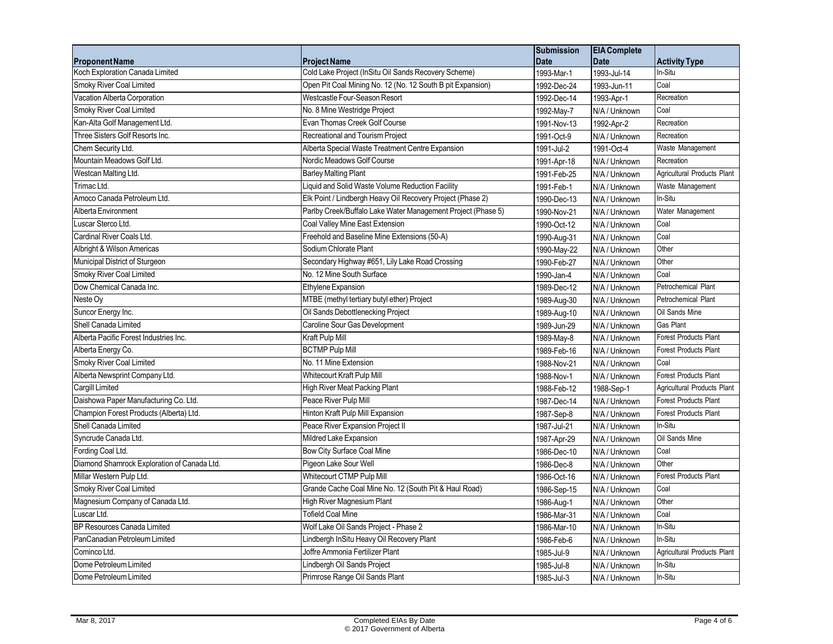|                                             |                                                              | <b>Submission</b> | <b>EIA</b> Complete        |                              |
|---------------------------------------------|--------------------------------------------------------------|-------------------|----------------------------|------------------------------|
| <b>Proponent Name</b>                       | <b>Project Name</b>                                          | <b>Date</b>       | <b>Date</b>                | <b>Activity Type</b>         |
| Koch Exploration Canada Limited             | Cold Lake Project (InSitu Oil Sands Recovery Scheme)         | 1993-Mar-1        | 1993-Jul-14                | In-Situ                      |
| Smoky River Coal Limited                    | Open Pit Coal Mining No. 12 (No. 12 South B pit Expansion)   | 1992-Dec-24       | 1993-Jun-11                | Coal                         |
| Vacation Alberta Corporation                | Westcastle Four-Season Resort                                | 1992-Dec-14       | 1993-Apr-1                 | Recreation                   |
| Smoky River Coal Limited                    | No. 8 Mine Westridge Project                                 | 1992-May-7        | N/A / Unknown              | Coal                         |
| Kan-Alta Golf Management Ltd.               | Evan Thomas Creek Golf Course                                | 1991-Nov-13       | 1992-Apr-2                 | Recreation                   |
| Three Sisters Golf Resorts Inc.             | Recreational and Tourism Project                             | 1991-Oct-9        | N/A / Unknown              | Recreation                   |
| Chem Security Ltd.                          | Alberta Special Waste Treatment Centre Expansion             | 1991-Jul-2        | 1991-Oct-4                 | Waste Management             |
| Mountain Meadows Golf Ltd.                  | Nordic Meadows Golf Course                                   | 1991-Apr-18       | N/A / Unknown              | Recreation                   |
| Westcan Malting Ltd.                        | <b>Barley Malting Plant</b>                                  | 1991-Feb-25       | N/A / Unknown              | Agricultural Products Plant  |
| Trimac Ltd.                                 | Liquid and Solid Waste Volume Reduction Facility             | 1991-Feb-1        | N/A / Unknown              | Waste Management             |
| Amoco Canada Petroleum Ltd.                 | Elk Point / Lindbergh Heavy Oil Recovery Project (Phase 2)   | 1990-Dec-13       | N/A / Unknown              | In-Situ                      |
| Alberta Environment                         | Parlby Creek/Buffalo Lake Water Management Project (Phase 5) | 1990-Nov-21       | N/A / Unknown              | Water Management             |
| Luscar Sterco Ltd.                          | Coal Valley Mine East Extension                              | 1990-Oct-12       | N/A / Unknown              | Coal                         |
| Cardinal River Coals Ltd.                   | Freehold and Baseline Mine Extensions (50-A)                 | 1990-Aug-31       | N/A / Unknown              | Coal                         |
| Albright & Wilson Americas                  | Sodium Chlorate Plant                                        | 1990-May-22       | N/A / Unknown              | Other                        |
| Municipal District of Sturgeon              | Secondary Highway #651, Lily Lake Road Crossing              | 1990-Feb-27       | N/A / Unknown              | Other                        |
| Smoky River Coal Limited                    | No. 12 Mine South Surface                                    | 1990-Jan-4        | N/A / Unknown              | Coal                         |
| Dow Chemical Canada Inc.                    | <b>Ethylene Expansion</b>                                    | 1989-Dec-12       | N/A / Unknown              | Petrochemical Plant          |
| Neste Ov                                    | MTBE (methyl tertiary butyl ether) Project                   | 1989-Aug-30       | N/A / Unknown              | <b>Petrochemical Plant</b>   |
| Suncor Energy Inc.                          | Oil Sands Debottlenecking Project                            | 1989-Aug-10       | N/A / Unknown              | Oil Sands Mine               |
| Shell Canada Limited                        | Caroline Sour Gas Development                                | 1989-Jun-29       | N/A / Unknown              | <b>Gas Plant</b>             |
| Alberta Pacific Forest Industries Inc.      | Kraft Pulp Mill                                              | 1989-May-8        | N/A / Unknown              | Forest Products Plant        |
| Alberta Energy Co.                          | <b>BCTMP Pulp Mill</b>                                       | 1989-Feb-16       | N/A / Unknown              | <b>Forest Products Plant</b> |
| Smoky River Coal Limited                    | No. 11 Mine Extension                                        | 1988-Nov-21       | N/A / Unknown              | Coal                         |
| Alberta Newsprint Company Ltd.              | Whitecourt Kraft Pulp Mill                                   | 1988-Nov-1        | N/A / Unknown              | <b>Forest Products Plant</b> |
| Cargill Limited                             | High River Meat Packing Plant                                | 1988-Feb-12       | 1988-Sep-1                 | Agricultural Products Plant  |
| Daishowa Paper Manufacturing Co. Ltd.       | Peace River Pulp Mill                                        | 1987-Dec-14       | N/A / Unknown              | <b>Forest Products Plant</b> |
| Champion Forest Products (Alberta) Ltd.     | Hinton Kraft Pulp Mill Expansion                             | 1987-Sep-8        | N/A / Unknown              | Forest Products Plant        |
| Shell Canada Limited                        | Peace River Expansion Project II                             | 1987-Jul-21       | N/A / Unknown              | In-Situ                      |
| Syncrude Canada Ltd.                        | Mildred Lake Expansion                                       | 1987-Apr-29       | N/A / Unknown              | Oil Sands Mine               |
| Fording Coal Ltd.                           | Bow City Surface Coal Mine                                   | 1986-Dec-10       | N/A / Unknown              | Coal                         |
| Diamond Shamrock Exploration of Canada Ltd. | Pigeon Lake Sour Well                                        | 1986-Dec-8        | N/A / Unknown              | Other                        |
| Millar Western Pulp Ltd.                    | Whitecourt CTMP Pulp Mill                                    | 1986-Oct-16       | N/A / Unknown              | Forest Products Plant        |
| Smoky River Coal Limited                    | Grande Cache Coal Mine No. 12 (South Pit & Haul Road)        | 1986-Sep-15       | N/A / Unknown              | Coal                         |
| Magnesium Company of Canada Ltd.            | High River Magnesium Plant                                   | 1986-Aug-1        | N/A / Unknown              | Other                        |
| Luscar Ltd.                                 | <b>Tofield Coal Mine</b>                                     | 1986-Mar-31       | N/A / Unknown              | Coal                         |
| <b>BP Resources Canada Limited</b>          | Wolf Lake Oil Sands Project - Phase 2                        | 1986-Mar-10       | N/A / Unknown              | In-Situ                      |
| PanCanadian Petroleum Limited               | Lindbergh InSitu Heavy Oil Recovery Plant                    | 1986-Feb-6        | N/A / Unknown              | In-Situ                      |
| Cominco Ltd.                                | Joffre Ammonia Fertilizer Plant                              | 1985-Jul-9        | $\overline{N/A}$ / Unknown | Agricultural Products Plant  |
| Dome Petroleum Limited                      | Lindbergh Oil Sands Project                                  | 1985-Jul-8        | N/A / Unknown              | In-Situ                      |
| Dome Petroleum Limited                      | Primrose Range Oil Sands Plant                               | 1985-Jul-3        | N/A / Unknown              | In-Situ                      |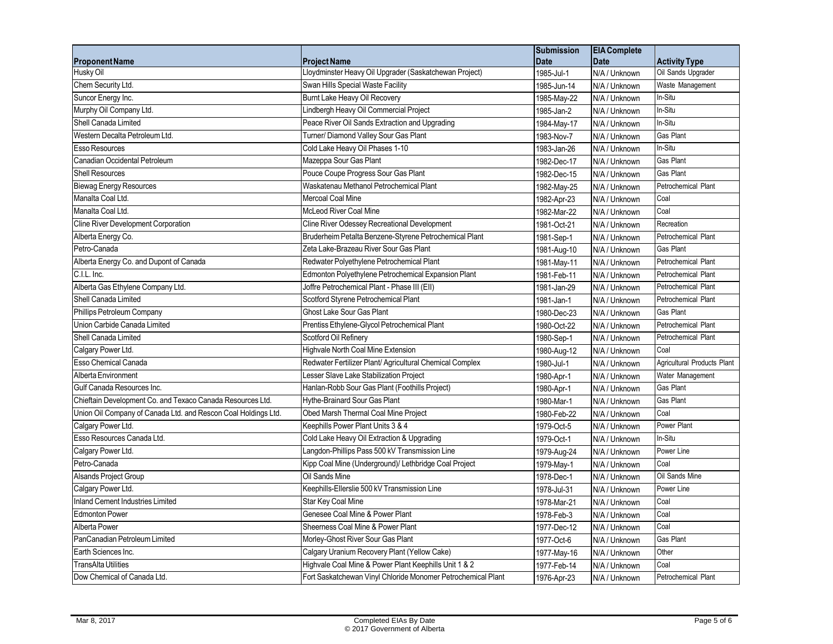|                                                                |                                                              | <b>Submission</b> | <b>EIA Complete</b> |                             |
|----------------------------------------------------------------|--------------------------------------------------------------|-------------------|---------------------|-----------------------------|
| <b>Proponent Name</b>                                          | <b>Project Name</b>                                          | <b>Date</b>       | <b>Date</b>         | <b>Activity Type</b>        |
| Husky Oil                                                      | Lloydminster Heavy Oil Upgrader (Saskatchewan Project)       | 1985-Jul-1        | N/A / Unknown       | Oil Sands Upgrader          |
| Chem Security Ltd.                                             | Swan Hills Special Waste Facility                            | 1985-Jun-14       | N/A / Unknown       | Waste Management            |
| Suncor Energy Inc.                                             | Burnt Lake Heavy Oil Recovery                                | 1985-May-22       | N/A / Unknown       | In-Situ                     |
| Murphy Oil Company Ltd.                                        | Lindbergh Heavy Oil Commercial Project                       | 1985-Jan-2        | N/A / Unknown       | In-Situ                     |
| Shell Canada Limited                                           | Peace River Oil Sands Extraction and Upgrading               | 1984-May-17       | N/A / Unknown       | In-Situ                     |
| Western Decalta Petroleum Ltd.                                 | Turner/ Diamond Valley Sour Gas Plant                        | 1983-Nov-7        | N/A / Unknown       | Gas Plant                   |
| <b>Esso Resources</b>                                          | Cold Lake Heavy Oil Phases 1-10                              | 1983-Jan-26       | N/A / Unknown       | In-Situ                     |
| Canadian Occidental Petroleum                                  | Mazeppa Sour Gas Plant                                       | 1982-Dec-17       | N/A / Unknown       | Gas Plant                   |
| <b>Shell Resources</b>                                         | Pouce Coupe Progress Sour Gas Plant                          | 1982-Dec-15       | N/A / Unknown       | Gas Plant                   |
| <b>Biewag Energy Resources</b>                                 | Waskatenau Methanol Petrochemical Plant                      | 1982-May-25       | N/A / Unknown       | Petrochemical Plant         |
| Manalta Coal Ltd.                                              | <b>Mercoal Coal Mine</b>                                     | 1982-Apr-23       | N/A / Unknown       | Coal                        |
| Manalta Coal Ltd.                                              | <b>McLeod River Coal Mine</b>                                | 1982-Mar-22       | N/A / Unknown       | Coal                        |
| Cline River Development Corporation                            | Cline River Odessey Recreational Development                 | 1981-Oct-21       | N/A / Unknown       | Recreation                  |
| Alberta Energy Co.                                             | Bruderheim Petalta Benzene-Styrene Petrochemical Plant       | 1981-Sep-1        | N/A / Unknown       | Petrochemical Plant         |
| Petro-Canada                                                   | Zeta Lake-Brazeau River Sour Gas Plant                       | 1981-Aug-10       | N/A / Unknown       | Gas Plant                   |
| Alberta Energy Co. and Dupont of Canada                        | Redwater Polyethylene Petrochemical Plant                    | 1981-May-11       | N/A / Unknown       | Petrochemical Plant         |
| C.I.L. Inc.                                                    | Edmonton Polyethylene Petrochemical Expansion Plant          | 1981-Feb-11       | N/A / Unknown       | Petrochemical Plant         |
| Alberta Gas Ethylene Company Ltd.                              | Joffre Petrochemical Plant - Phase III (EII)                 | 1981-Jan-29       | N/A / Unknown       | Petrochemical Plant         |
| Shell Canada Limited                                           | Scotford Styrene Petrochemical Plant                         | 1981-Jan-1        | N/A / Unknown       | Petrochemical Plant         |
| Phillips Petroleum Company                                     | Ghost Lake Sour Gas Plant                                    | 1980-Dec-23       | N/A / Unknown       | Gas Plant                   |
| Union Carbide Canada Limited                                   | Prentiss Ethylene-Glycol Petrochemical Plant                 | 1980-Oct-22       | N/A / Unknown       | Petrochemical Plant         |
| Shell Canada Limited                                           | Scotford Oil Refinery                                        | 1980-Sep-1        | N/A / Unknown       | Petrochemical Plant         |
| Calgary Power Ltd.                                             | Highvale North Coal Mine Extension                           | 1980-Aug-12       | N/A / Unknown       | Coal                        |
| Esso Chemical Canada                                           | Redwater Fertilizer Plant/ Agricultural Chemical Complex     | 1980-Jul-1        | N/A / Unknown       | Agricultural Products Plant |
| Alberta Environment                                            | Lesser Slave Lake Stabilization Project                      | 1980-Apr-1        | N/A / Unknown       | Water Management            |
| Gulf Canada Resources Inc.                                     | Hanlan-Robb Sour Gas Plant (Foothills Project)               | 1980-Apr-1        | N/A / Unknown       | Gas Plant                   |
| Chieftain Development Co. and Texaco Canada Resources Ltd.     | Hythe-Brainard Sour Gas Plant                                | 1980-Mar-1        | N/A / Unknown       | Gas Plant                   |
| Union Oil Company of Canada Ltd. and Rescon Coal Holdings Ltd. | Obed Marsh Thermal Coal Mine Project                         | 1980-Feb-22       | N/A / Unknown       | Coal                        |
| Calgary Power Ltd.                                             | Keephills Power Plant Units 3 & 4                            | 1979-Oct-5        | N/A / Unknown       | Power Plant                 |
| Esso Resources Canada Ltd.                                     | Cold Lake Heavy Oil Extraction & Upgrading                   | 1979-Oct-1        | N/A / Unknown       | In-Situ                     |
| Calgary Power Ltd.                                             | Langdon-Phillips Pass 500 kV Transmission Line               | 1979-Aug-24       | N/A / Unknown       | Power Line                  |
| Petro-Canada                                                   | Kipp Coal Mine (Underground)/ Lethbridge Coal Project        | 1979-May-1        | N/A / Unknown       | Coal                        |
| <b>Alsands Project Group</b>                                   | Oil Sands Mine                                               | 1978-Dec-1        | N/A / Unknown       | Oil Sands Mine              |
| Calgary Power Ltd.                                             | Keephills-Ellerslie 500 kV Transmission Line                 | 1978-Jul-31       | N/A / Unknown       | Power Line                  |
| <b>Inland Cement Industries Limited</b>                        | Star Key Coal Mine                                           | 1978-Mar-21       | N/A / Unknown       | Coal                        |
| <b>Edmonton Power</b>                                          | Genesee Coal Mine & Power Plant                              | 1978-Feb-3        | N/A / Unknown       | Coal                        |
| Alberta Power                                                  | Sheerness Coal Mine & Power Plant                            | 1977-Dec-12       | N/A / Unknown       | Coal                        |
| PanCanadian Petroleum Limited                                  | Morley-Ghost River Sour Gas Plant                            | 1977-Oct-6        | N/A / Unknown       | Gas Plant                   |
| Earth Sciences Inc.                                            | Calgary Uranium Recovery Plant (Yellow Cake)                 | 1977-May-16       | N/A / Unknown       | Other                       |
| TransAlta Utilities                                            | Highvale Coal Mine & Power Plant Keephills Unit 1 & 2        | 1977-Feb-14       | N/A / Unknown       | Coal                        |
| Dow Chemical of Canada Ltd.                                    | Fort Saskatchewan Vinyl Chloride Monomer Petrochemical Plant | 1976-Apr-23       | N/A / Unknown       | Petrochemical Plant         |